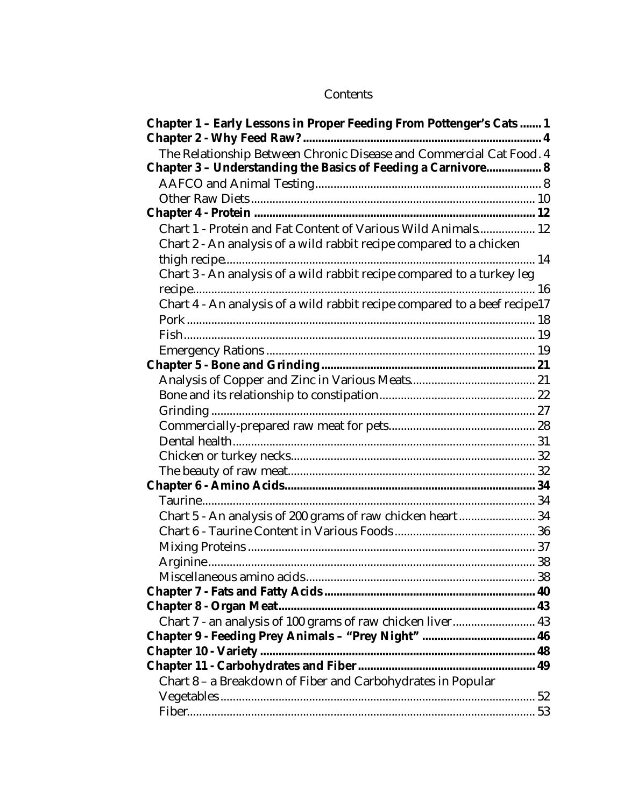## Contents

| Chapter 1 - Early Lessons in Proper Feeding From Pottenger's Cats 1                                                                  |  |
|--------------------------------------------------------------------------------------------------------------------------------------|--|
| The Relationship Between Chronic Disease and Commercial Cat Food. 4<br>Chapter 3 - Understanding the Basics of Feeding a Carnivore 8 |  |
|                                                                                                                                      |  |
|                                                                                                                                      |  |
|                                                                                                                                      |  |
| Chart 1 - Protein and Fat Content of Various Wild Animals 12                                                                         |  |
| Chart 2 - An analysis of a wild rabbit recipe compared to a chicken                                                                  |  |
|                                                                                                                                      |  |
| Chart 3 - An analysis of a wild rabbit recipe compared to a turkey leg                                                               |  |
|                                                                                                                                      |  |
| Chart 4 - An analysis of a wild rabbit recipe compared to a beef recipe17                                                            |  |
|                                                                                                                                      |  |
|                                                                                                                                      |  |
|                                                                                                                                      |  |
|                                                                                                                                      |  |
|                                                                                                                                      |  |
|                                                                                                                                      |  |
|                                                                                                                                      |  |
|                                                                                                                                      |  |
|                                                                                                                                      |  |
|                                                                                                                                      |  |
|                                                                                                                                      |  |
|                                                                                                                                      |  |
|                                                                                                                                      |  |
| Chart 5 - An analysis of 200 grams of raw chicken heart 34                                                                           |  |
|                                                                                                                                      |  |
|                                                                                                                                      |  |
|                                                                                                                                      |  |
|                                                                                                                                      |  |
|                                                                                                                                      |  |
|                                                                                                                                      |  |
| Chart 7 - an analysis of 100 grams of raw chicken liver 43                                                                           |  |
|                                                                                                                                      |  |
| <b>Chapter 10 - Variety </b>                                                                                                         |  |
|                                                                                                                                      |  |
| Chart 8 - a Breakdown of Fiber and Carbohydrates in Popular                                                                          |  |
|                                                                                                                                      |  |
|                                                                                                                                      |  |